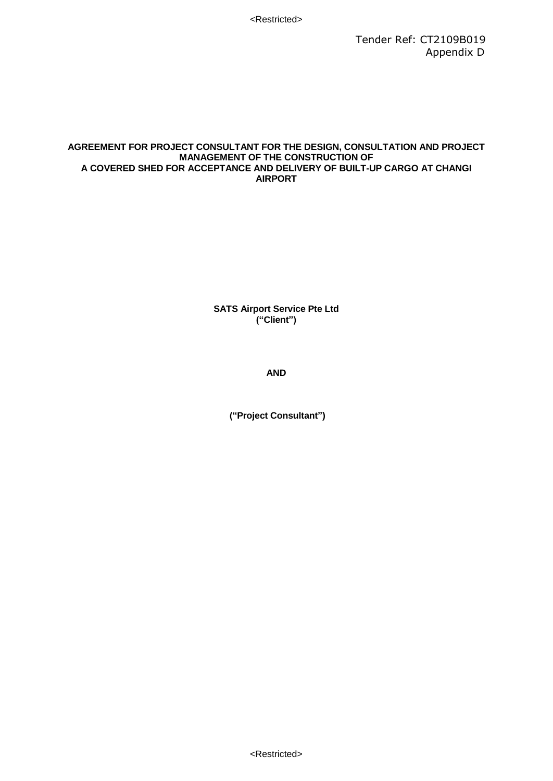#### **AGREEMENT FOR PROJECT CONSULTANT FOR THE DESIGN, CONSULTATION AND PROJECT MANAGEMENT OF THE CONSTRUCTION OF A COVERED SHED FOR ACCEPTANCE AND DELIVERY OF BUILT-UP CARGO AT CHANGI AIRPORT**

**SATS Airport Service Pte Ltd ("Client")**

**AND**

**("Project Consultant")**

<Restricted>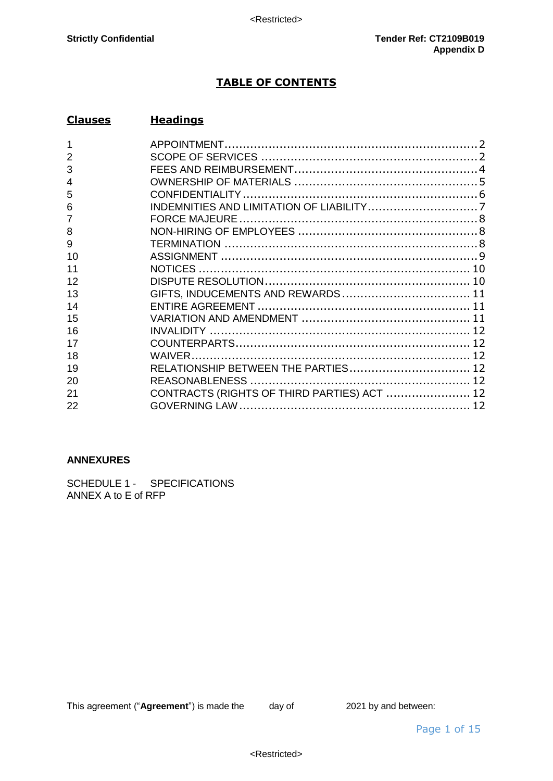## **TABLE OF CONTENTS**

# **Clauses Headings**

| 3  |                                             |  |
|----|---------------------------------------------|--|
|    |                                             |  |
| 5  |                                             |  |
| 6  |                                             |  |
|    |                                             |  |
| 8  |                                             |  |
| 9  |                                             |  |
| 10 |                                             |  |
|    |                                             |  |
| 12 |                                             |  |
| 13 |                                             |  |
| 14 |                                             |  |
| 15 |                                             |  |
| 16 |                                             |  |
| 17 |                                             |  |
| 18 |                                             |  |
| 19 | RELATIONSHIP BETWEEN THE PARTIES 12         |  |
| 20 |                                             |  |
| 21 | CONTRACTS (RIGHTS OF THIRD PARTIES) ACT  12 |  |
| 22 |                                             |  |

### **ANNEXURES**

SCHEDULE 1 - SPECIFICATIONS ANNEX A to E of RFP

This agreement ("**Agreement**") is made the day of 2021 by and between: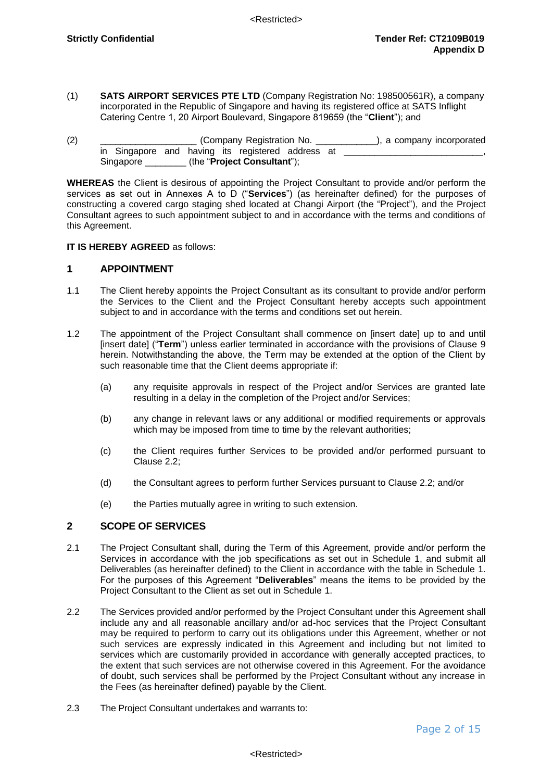- (1) **SATS AIRPORT SERVICES PTE LTD** (Company Registration No: 198500561R), a company incorporated in the Republic of Singapore and having its registered office at SATS Inflight Catering Centre 1, 20 Airport Boulevard, Singapore 819659 (the "**Client**"); and
- (2) \_\_\_\_\_\_\_\_\_\_\_\_\_\_\_\_\_\_\_\_\_\_\_\_\_\_\_\_\_\_(Company Registration No. \_\_\_\_\_\_\_\_\_\_\_\_\_\_\_\_), a company incorporated in Singapore and having its registered address at \_\_\_\_\_\_\_\_\_\_\_\_\_\_\_\_\_\_\_\_\_\_\_\_\_\_\_\_\_\_, Singapore \_\_\_\_\_\_\_\_ (the "**Project Consultant**");

**WHEREAS** the Client is desirous of appointing the Project Consultant to provide and/or perform the services as set out in Annexes A to D ("**Services**") (as hereinafter defined) for the purposes of constructing a covered cargo staging shed located at Changi Airport (the "Project"), and the Project Consultant agrees to such appointment subject to and in accordance with the terms and conditions of this Agreement.

### **IT IS HEREBY AGREED** as follows:

### <span id="page-2-0"></span>**1 APPOINTMENT**

- 1.1 The Client hereby appoints the Project Consultant as its consultant to provide and/or perform the Services to the Client and the Project Consultant hereby accepts such appointment subject to and in accordance with the terms and conditions set out herein.
- 1.2 The appointment of the Project Consultant shall commence on [insert date] up to and until [insert date] ("**Term**") unless earlier terminated in accordance with the provisions of Clause 9 herein. Notwithstanding the above, the Term may be extended at the option of the Client by such reasonable time that the Client deems appropriate if:
	- (a) any requisite approvals in respect of the Project and/or Services are granted late resulting in a delay in the completion of the Project and/or Services;
	- (b) any change in relevant laws or any additional or modified requirements or approvals which may be imposed from time to time by the relevant authorities;
	- (c) the Client requires further Services to be provided and/or performed pursuant to Clause 2.2;
	- (d) the Consultant agrees to perform further Services pursuant to Clause 2.2; and/or
	- (e) the Parties mutually agree in writing to such extension.

### <span id="page-2-1"></span>**2 SCOPE OF SERVICES**

- 2.1 The Project Consultant shall, during the Term of this Agreement, provide and/or perform the Services in accordance with the job specifications as set out in Schedule 1, and submit all Deliverables (as hereinafter defined) to the Client in accordance with the table in Schedule 1. For the purposes of this Agreement "**Deliverables**" means the items to be provided by the Project Consultant to the Client as set out in Schedule 1.
- 2.2 The Services provided and/or performed by the Project Consultant under this Agreement shall include any and all reasonable ancillary and/or ad-hoc services that the Project Consultant may be required to perform to carry out its obligations under this Agreement, whether or not such services are expressly indicated in this Agreement and including but not limited to services which are customarily provided in accordance with generally accepted practices, to the extent that such services are not otherwise covered in this Agreement. For the avoidance of doubt, such services shall be performed by the Project Consultant without any increase in the Fees (as hereinafter defined) payable by the Client.
- 2.3 The Project Consultant undertakes and warrants to: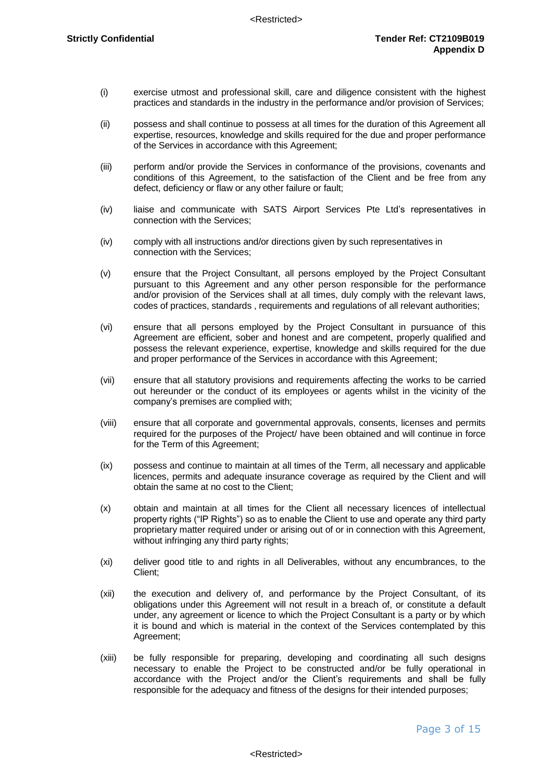- (i) exercise utmost and professional skill, care and diligence consistent with the highest practices and standards in the industry in the performance and/or provision of Services;
- (ii) possess and shall continue to possess at all times for the duration of this Agreement all expertise, resources, knowledge and skills required for the due and proper performance of the Services in accordance with this Agreement;
- (iii) perform and/or provide the Services in conformance of the provisions, covenants and conditions of this Agreement, to the satisfaction of the Client and be free from any defect, deficiency or flaw or any other failure or fault;
- (iv) liaise and communicate with SATS Airport Services Pte Ltd's representatives in connection with the Services;
- (iv) comply with all instructions and/or directions given by such representatives in connection with the Services;
- (v) ensure that the Project Consultant, all persons employed by the Project Consultant pursuant to this Agreement and any other person responsible for the performance and/or provision of the Services shall at all times, duly comply with the relevant laws, codes of practices, standards , requirements and regulations of all relevant authorities;
- (vi) ensure that all persons employed by the Project Consultant in pursuance of this Agreement are efficient, sober and honest and are competent, properly qualified and possess the relevant experience, expertise, knowledge and skills required for the due and proper performance of the Services in accordance with this Agreement;
- (vii) ensure that all statutory provisions and requirements affecting the works to be carried out hereunder or the conduct of its employees or agents whilst in the vicinity of the company's premises are complied with;
- (viii) ensure that all corporate and governmental approvals, consents, licenses and permits required for the purposes of the Project/ have been obtained and will continue in force for the Term of this Agreement;
- (ix) possess and continue to maintain at all times of the Term, all necessary and applicable licences, permits and adequate insurance coverage as required by the Client and will obtain the same at no cost to the Client;
- (x) obtain and maintain at all times for the Client all necessary licences of intellectual property rights ("IP Rights") so as to enable the Client to use and operate any third party proprietary matter required under or arising out of or in connection with this Agreement, without infringing any third party rights;
- (xi) deliver good title to and rights in all Deliverables, without any encumbrances, to the Client;
- (xii) the execution and delivery of, and performance by the Project Consultant, of its obligations under this Agreement will not result in a breach of, or constitute a default under, any agreement or licence to which the Project Consultant is a party or by which it is bound and which is material in the context of the Services contemplated by this Agreement;
- (xiii) be fully responsible for preparing, developing and coordinating all such designs necessary to enable the Project to be constructed and/or be fully operational in accordance with the Project and/or the Client's requirements and shall be fully responsible for the adequacy and fitness of the designs for their intended purposes;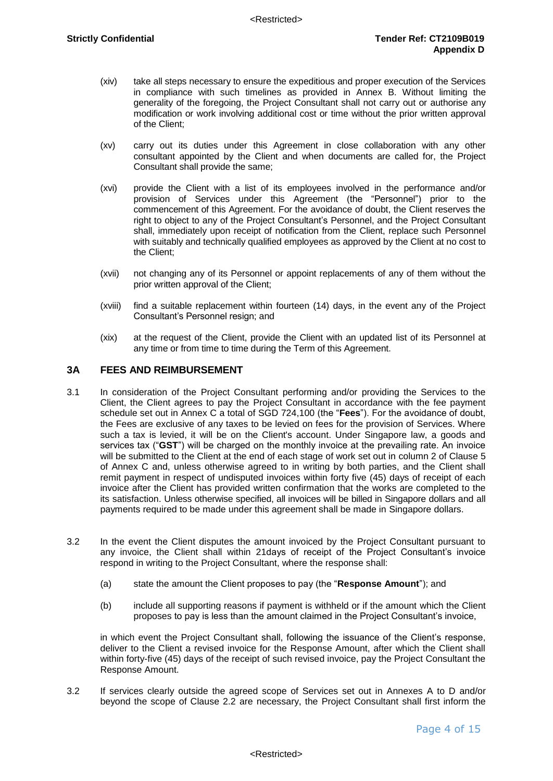- (xiv) take all steps necessary to ensure the expeditious and proper execution of the Services in compliance with such timelines as provided in Annex B. Without limiting the generality of the foregoing, the Project Consultant shall not carry out or authorise any modification or work involving additional cost or time without the prior written approval of the Client;
- (xv) carry out its duties under this Agreement in close collaboration with any other consultant appointed by the Client and when documents are called for, the Project Consultant shall provide the same;
- (xvi) provide the Client with a list of its employees involved in the performance and/or provision of Services under this Agreement (the "Personnel") prior to the commencement of this Agreement. For the avoidance of doubt, the Client reserves the right to object to any of the Project Consultant's Personnel, and the Project Consultant shall, immediately upon receipt of notification from the Client, replace such Personnel with suitably and technically qualified employees as approved by the Client at no cost to the Client;
- (xvii) not changing any of its Personnel or appoint replacements of any of them without the prior written approval of the Client;
- (xviii) find a suitable replacement within fourteen (14) days, in the event any of the Project Consultant's Personnel resign; and
- (xix) at the request of the Client, provide the Client with an updated list of its Personnel at any time or from time to time during the Term of this Agreement.

### <span id="page-4-0"></span>**3A FEES AND REIMBURSEMENT**

- 3.1 In consideration of the Project Consultant performing and/or providing the Services to the Client, the Client agrees to pay the Project Consultant in accordance with the fee payment schedule set out in Annex C a total of SGD 724,100 (the "**Fees**"). For the avoidance of doubt, the Fees are exclusive of any taxes to be levied on fees for the provision of Services. Where such a tax is levied, it will be on the Client's account. Under Singapore law, a goods and services tax ("**GST**") will be charged on the monthly invoice at the prevailing rate. An invoice will be submitted to the Client at the end of each stage of work set out in column 2 of Clause 5 of Annex C and, unless otherwise agreed to in writing by both parties, and the Client shall remit payment in respect of undisputed invoices within forty five (45) days of receipt of each invoice after the Client has provided written confirmation that the works are completed to the its satisfaction. Unless otherwise specified, all invoices will be billed in Singapore dollars and all payments required to be made under this agreement shall be made in Singapore dollars.
- 3.2 In the event the Client disputes the amount invoiced by the Project Consultant pursuant to any invoice, the Client shall within 21days of receipt of the Project Consultant's invoice respond in writing to the Project Consultant, where the response shall:
	- (a) state the amount the Client proposes to pay (the "**Response Amount**"); and
	- (b) include all supporting reasons if payment is withheld or if the amount which the Client proposes to pay is less than the amount claimed in the Project Consultant's invoice,

in which event the Project Consultant shall, following the issuance of the Client's response, deliver to the Client a revised invoice for the Response Amount, after which the Client shall within forty-five (45) days of the receipt of such revised invoice, pay the Project Consultant the Response Amount.

3.2 If services clearly outside the agreed scope of Services set out in Annexes A to D and/or beyond the scope of Clause 2.2 are necessary, the Project Consultant shall first inform the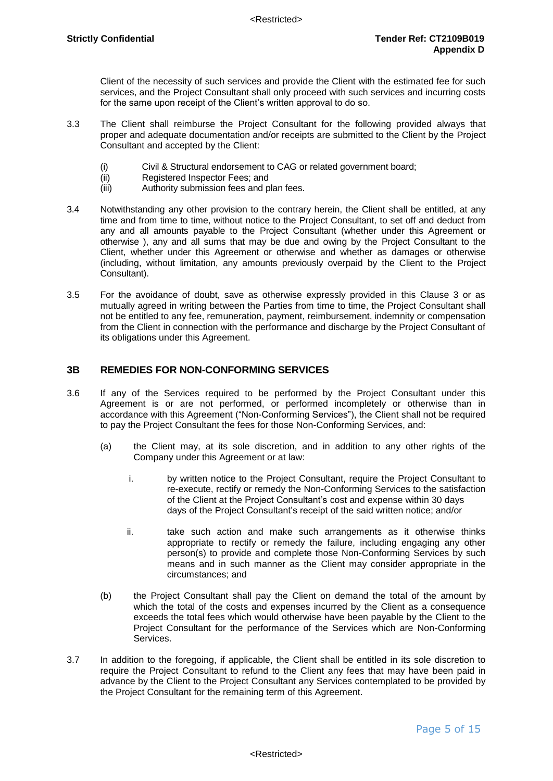Client of the necessity of such services and provide the Client with the estimated fee for such services, and the Project Consultant shall only proceed with such services and incurring costs for the same upon receipt of the Client's written approval to do so.

- 3.3 The Client shall reimburse the Project Consultant for the following provided always that proper and adequate documentation and/or receipts are submitted to the Client by the Project Consultant and accepted by the Client:
	- (i) Civil & Structural endorsement to CAG or related government board;
	- (ii) Registered Inspector Fees; and
	- (iii) Authority submission fees and plan fees.
- 3.4 Notwithstanding any other provision to the contrary herein, the Client shall be entitled, at any time and from time to time, without notice to the Project Consultant, to set off and deduct from any and all amounts payable to the Project Consultant (whether under this Agreement or otherwise ), any and all sums that may be due and owing by the Project Consultant to the Client, whether under this Agreement or otherwise and whether as damages or otherwise (including, without limitation, any amounts previously overpaid by the Client to the Project Consultant).
- 3.5 For the avoidance of doubt, save as otherwise expressly provided in this Clause 3 or as mutually agreed in writing between the Parties from time to time, the Project Consultant shall not be entitled to any fee, remuneration, payment, reimbursement, indemnity or compensation from the Client in connection with the performance and discharge by the Project Consultant of its obligations under this Agreement.

### <span id="page-5-0"></span>**3B REMEDIES FOR NON-CONFORMING SERVICES**

- 3.6 If any of the Services required to be performed by the Project Consultant under this Agreement is or are not performed, or performed incompletely or otherwise than in accordance with this Agreement ("Non-Conforming Services"), the Client shall not be required to pay the Project Consultant the fees for those Non-Conforming Services, and:
	- (a) the Client may, at its sole discretion, and in addition to any other rights of the Company under this Agreement or at law:
		- i. by written notice to the Project Consultant, require the Project Consultant to re-execute, rectify or remedy the Non-Conforming Services to the satisfaction of the Client at the Project Consultant's cost and expense within 30 days days of the Project Consultant's receipt of the said written notice; and/or
		- ii. take such action and make such arrangements as it otherwise thinks appropriate to rectify or remedy the failure, including engaging any other person(s) to provide and complete those Non-Conforming Services by such means and in such manner as the Client may consider appropriate in the circumstances; and
	- (b) the Project Consultant shall pay the Client on demand the total of the amount by which the total of the costs and expenses incurred by the Client as a consequence exceeds the total fees which would otherwise have been payable by the Client to the Project Consultant for the performance of the Services which are Non-Conforming Services.
- 3.7 In addition to the foregoing, if applicable, the Client shall be entitled in its sole discretion to require the Project Consultant to refund to the Client any fees that may have been paid in advance by the Client to the Project Consultant any Services contemplated to be provided by the Project Consultant for the remaining term of this Agreement.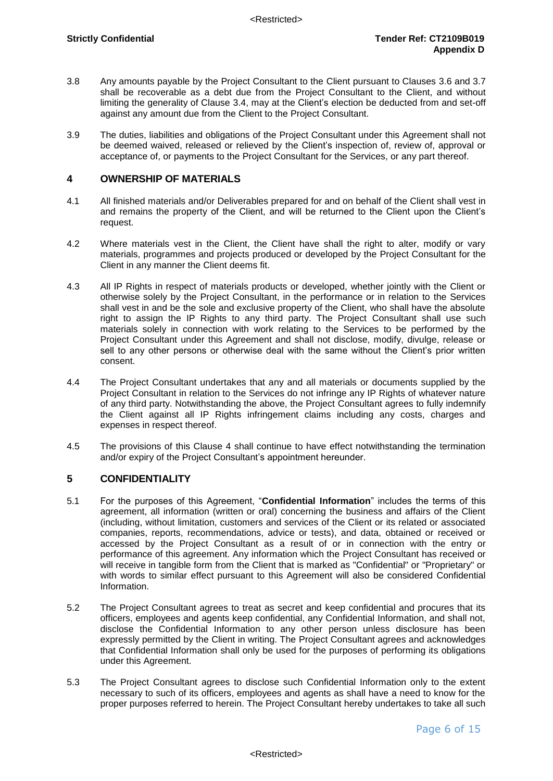- 3.8 Any amounts payable by the Project Consultant to the Client pursuant to Clauses 3.6 and 3.7 shall be recoverable as a debt due from the Project Consultant to the Client, and without limiting the generality of Clause 3.4, may at the Client's election be deducted from and set-off against any amount due from the Client to the Project Consultant.
- 3.9 The duties, liabilities and obligations of the Project Consultant under this Agreement shall not be deemed waived, released or relieved by the Client's inspection of, review of, approval or acceptance of, or payments to the Project Consultant for the Services, or any part thereof.

### **4 OWNERSHIP OF MATERIALS**

- 4.1 All finished materials and/or Deliverables prepared for and on behalf of the Client shall vest in and remains the property of the Client, and will be returned to the Client upon the Client's request.
- 4.2 Where materials vest in the Client, the Client have shall the right to alter, modify or vary materials, programmes and projects produced or developed by the Project Consultant for the Client in any manner the Client deems fit.
- 4.3 All IP Rights in respect of materials products or developed, whether jointly with the Client or otherwise solely by the Project Consultant, in the performance or in relation to the Services shall vest in and be the sole and exclusive property of the Client, who shall have the absolute right to assign the IP Rights to any third party. The Project Consultant shall use such materials solely in connection with work relating to the Services to be performed by the Project Consultant under this Agreement and shall not disclose, modify, divulge, release or sell to any other persons or otherwise deal with the same without the Client's prior written consent.
- 4.4 The Project Consultant undertakes that any and all materials or documents supplied by the Project Consultant in relation to the Services do not infringe any IP Rights of whatever nature of any third party. Notwithstanding the above, the Project Consultant agrees to fully indemnify the Client against all IP Rights infringement claims including any costs, charges and expenses in respect thereof.
- 4.5 The provisions of this Clause 4 shall continue to have effect notwithstanding the termination and/or expiry of the Project Consultant's appointment hereunder.

### <span id="page-6-0"></span>**5 CONFIDENTIALITY**

- 5.1 For the purposes of this Agreement, "**Confidential Information**" includes the terms of this agreement, all information (written or oral) concerning the business and affairs of the Client (including, without limitation, customers and services of the Client or its related or associated companies, reports, recommendations, advice or tests), and data, obtained or received or accessed by the Project Consultant as a result of or in connection with the entry or performance of this agreement. Any information which the Project Consultant has received or will receive in tangible form from the Client that is marked as "Confidential" or "Proprietary" or with words to similar effect pursuant to this Agreement will also be considered Confidential Information.
- 5.2 The Project Consultant agrees to treat as secret and keep confidential and procures that its officers, employees and agents keep confidential, any Confidential Information, and shall not, disclose the Confidential Information to any other person unless disclosure has been expressly permitted by the Client in writing. The Project Consultant agrees and acknowledges that Confidential Information shall only be used for the purposes of performing its obligations under this Agreement.
- 5.3 The Project Consultant agrees to disclose such Confidential Information only to the extent necessary to such of its officers, employees and agents as shall have a need to know for the proper purposes referred to herein. The Project Consultant hereby undertakes to take all such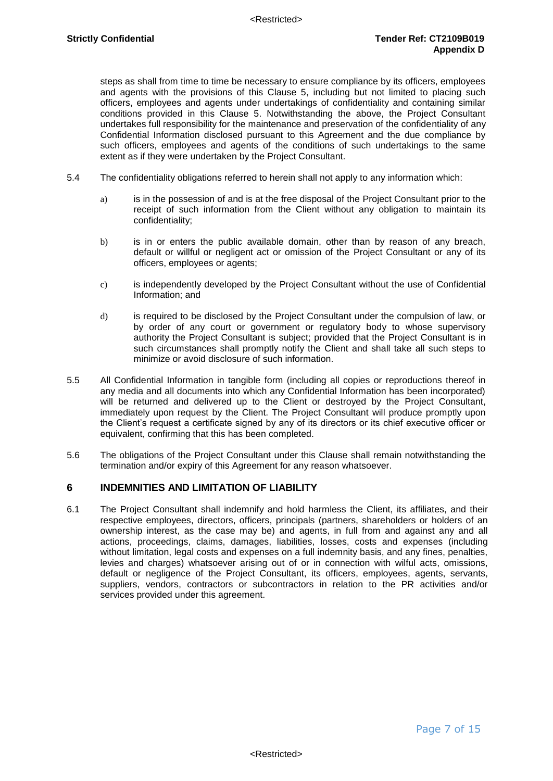steps as shall from time to time be necessary to ensure compliance by its officers, employees and agents with the provisions of this Clause 5, including but not limited to placing such officers, employees and agents under undertakings of confidentiality and containing similar conditions provided in this Clause 5. Notwithstanding the above, the Project Consultant undertakes full responsibility for the maintenance and preservation of the confidentiality of any Confidential Information disclosed pursuant to this Agreement and the due compliance by such officers, employees and agents of the conditions of such undertakings to the same extent as if they were undertaken by the Project Consultant.

- 5.4 The confidentiality obligations referred to herein shall not apply to any information which:
	- a) is in the possession of and is at the free disposal of the Project Consultant prior to the receipt of such information from the Client without any obligation to maintain its confidentiality;
	- b) is in or enters the public available domain, other than by reason of any breach, default or willful or negligent act or omission of the Project Consultant or any of its officers, employees or agents;
	- c) is independently developed by the Project Consultant without the use of Confidential Information; and
	- d) is required to be disclosed by the Project Consultant under the compulsion of law, or by order of any court or government or regulatory body to whose supervisory authority the Project Consultant is subject; provided that the Project Consultant is in such circumstances shall promptly notify the Client and shall take all such steps to minimize or avoid disclosure of such information.
- 5.5 All Confidential Information in tangible form (including all copies or reproductions thereof in any media and all documents into which any Confidential Information has been incorporated) will be returned and delivered up to the Client or destroyed by the Project Consultant, immediately upon request by the Client. The Project Consultant will produce promptly upon the Client's request a certificate signed by any of its directors or its chief executive officer or equivalent, confirming that this has been completed.
- 5.6 The obligations of the Project Consultant under this Clause shall remain notwithstanding the termination and/or expiry of this Agreement for any reason whatsoever.

### <span id="page-7-0"></span>**6 INDEMNITIES AND LIMITATION OF LIABILITY**

6.1 The Project Consultant shall indemnify and hold harmless the Client, its affiliates, and their respective employees, directors, officers, principals (partners, shareholders or holders of an ownership interest, as the case may be) and agents, in full from and against any and all actions, proceedings, claims, damages, liabilities, losses, costs and expenses (including without limitation, legal costs and expenses on a full indemnity basis, and any fines, penalties, levies and charges) whatsoever arising out of or in connection with wilful acts, omissions, default or negligence of the Project Consultant, its officers, employees, agents, servants, suppliers, vendors, contractors or subcontractors in relation to the PR activities and/or services provided under this agreement.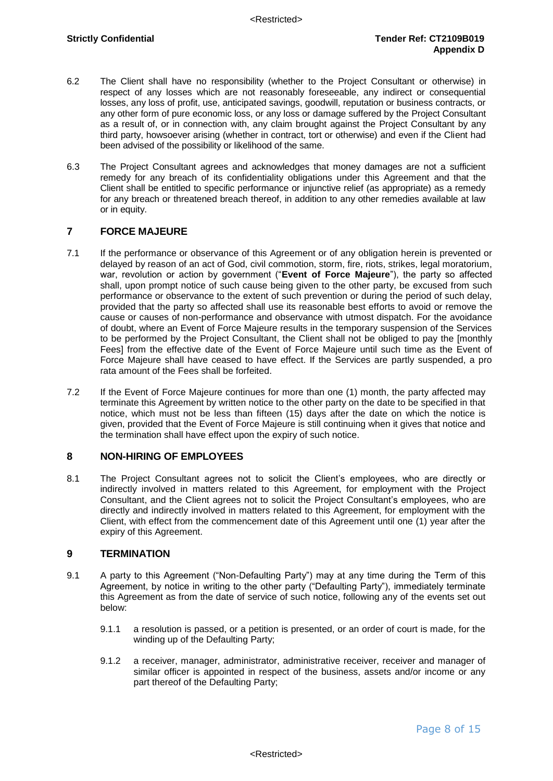- 6.2 The Client shall have no responsibility (whether to the Project Consultant or otherwise) in respect of any losses which are not reasonably foreseeable, any indirect or consequential losses, any loss of profit, use, anticipated savings, goodwill, reputation or business contracts, or any other form of pure economic loss, or any loss or damage suffered by the Project Consultant as a result of, or in connection with, any claim brought against the Project Consultant by any third party, howsoever arising (whether in contract, tort or otherwise) and even if the Client had been advised of the possibility or likelihood of the same.
- 6.3 The Project Consultant agrees and acknowledges that money damages are not a sufficient remedy for any breach of its confidentiality obligations under this Agreement and that the Client shall be entitled to specific performance or injunctive relief (as appropriate) as a remedy for any breach or threatened breach thereof, in addition to any other remedies available at law or in equity.

### <span id="page-8-0"></span>**7 FORCE MAJEURE**

- 7.1 If the performance or observance of this Agreement or of any obligation herein is prevented or delayed by reason of an act of God, civil commotion, storm, fire, riots, strikes, legal moratorium, war, revolution or action by government ("**Event of Force Majeure**"), the party so affected shall, upon prompt notice of such cause being given to the other party, be excused from such performance or observance to the extent of such prevention or during the period of such delay, provided that the party so affected shall use its reasonable best efforts to avoid or remove the cause or causes of non-performance and observance with utmost dispatch. For the avoidance of doubt, where an Event of Force Majeure results in the temporary suspension of the Services to be performed by the Project Consultant, the Client shall not be obliged to pay the [monthly Fees] from the effective date of the Event of Force Majeure until such time as the Event of Force Majeure shall have ceased to have effect. If the Services are partly suspended, a pro rata amount of the Fees shall be forfeited.
- 7.2 If the Event of Force Majeure continues for more than one (1) month, the party affected may terminate this Agreement by written notice to the other party on the date to be specified in that notice, which must not be less than fifteen (15) days after the date on which the notice is given, provided that the Event of Force Majeure is still continuing when it gives that notice and the termination shall have effect upon the expiry of such notice.

### <span id="page-8-1"></span>**8 NON-HIRING OF EMPLOYEES**

8.1 The Project Consultant agrees not to solicit the Client's employees, who are directly or indirectly involved in matters related to this Agreement, for employment with the Project Consultant, and the Client agrees not to solicit the Project Consultant's employees, who are directly and indirectly involved in matters related to this Agreement, for employment with the Client, with effect from the commencement date of this Agreement until one (1) year after the expiry of this Agreement.

### <span id="page-8-2"></span>**9 TERMINATION**

- 9.1 A party to this Agreement ("Non-Defaulting Party") may at any time during the Term of this Agreement, by notice in writing to the other party ("Defaulting Party"), immediately terminate this Agreement as from the date of service of such notice, following any of the events set out below:
	- 9.1.1 a resolution is passed, or a petition is presented, or an order of court is made, for the winding up of the Defaulting Party;
	- 9.1.2 a receiver, manager, administrator, administrative receiver, receiver and manager of similar officer is appointed in respect of the business, assets and/or income or any part thereof of the Defaulting Party;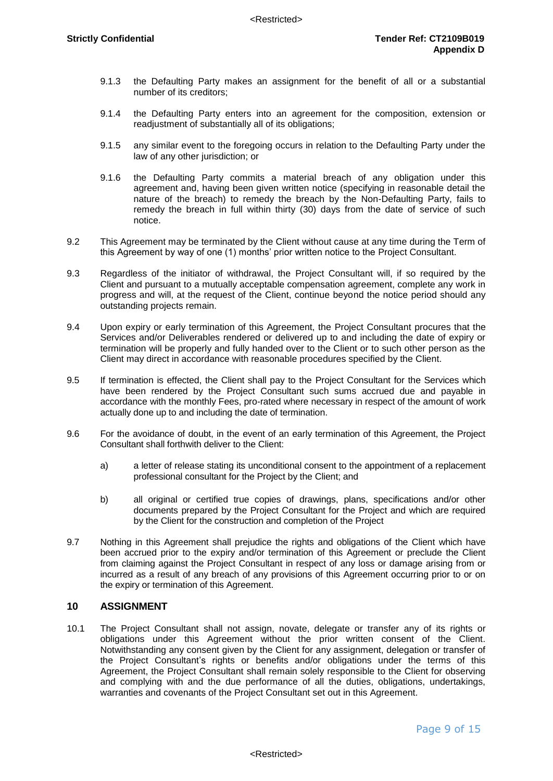- 9.1.3 the Defaulting Party makes an assignment for the benefit of all or a substantial number of its creditors;
- 9.1.4 the Defaulting Party enters into an agreement for the composition, extension or readjustment of substantially all of its obligations;
- 9.1.5 any similar event to the foregoing occurs in relation to the Defaulting Party under the law of any other jurisdiction; or
- 9.1.6 the Defaulting Party commits a material breach of any obligation under this agreement and, having been given written notice (specifying in reasonable detail the nature of the breach) to remedy the breach by the Non-Defaulting Party, fails to remedy the breach in full within thirty (30) days from the date of service of such notice.
- 9.2 This Agreement may be terminated by the Client without cause at any time during the Term of this Agreement by way of one (1) months' prior written notice to the Project Consultant.
- 9.3 Regardless of the initiator of withdrawal, the Project Consultant will, if so required by the Client and pursuant to a mutually acceptable compensation agreement, complete any work in progress and will, at the request of the Client, continue beyond the notice period should any outstanding projects remain.
- 9.4 Upon expiry or early termination of this Agreement, the Project Consultant procures that the Services and/or Deliverables rendered or delivered up to and including the date of expiry or termination will be properly and fully handed over to the Client or to such other person as the Client may direct in accordance with reasonable procedures specified by the Client.
- 9.5 If termination is effected, the Client shall pay to the Project Consultant for the Services which have been rendered by the Project Consultant such sums accrued due and payable in accordance with the monthly Fees, pro-rated where necessary in respect of the amount of work actually done up to and including the date of termination.
- 9.6 For the avoidance of doubt, in the event of an early termination of this Agreement, the Project Consultant shall forthwith deliver to the Client:
	- a) a letter of release stating its unconditional consent to the appointment of a replacement professional consultant for the Project by the Client; and
	- b) all original or certified true copies of drawings, plans, specifications and/or other documents prepared by the Project Consultant for the Project and which are required by the Client for the construction and completion of the Project
- 9.7 Nothing in this Agreement shall prejudice the rights and obligations of the Client which have been accrued prior to the expiry and/or termination of this Agreement or preclude the Client from claiming against the Project Consultant in respect of any loss or damage arising from or incurred as a result of any breach of any provisions of this Agreement occurring prior to or on the expiry or termination of this Agreement.

### <span id="page-9-0"></span>**10 ASSIGNMENT**

10.1 The Project Consultant shall not assign, novate, delegate or transfer any of its rights or obligations under this Agreement without the prior written consent of the Client. Notwithstanding any consent given by the Client for any assignment, delegation or transfer of the Project Consultant's rights or benefits and/or obligations under the terms of this Agreement, the Project Consultant shall remain solely responsible to the Client for observing and complying with and the due performance of all the duties, obligations, undertakings, warranties and covenants of the Project Consultant set out in this Agreement.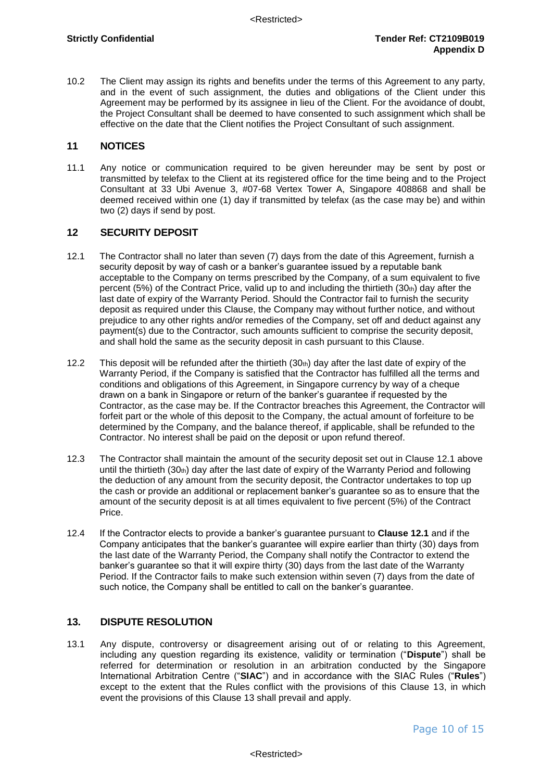10.2 The Client may assign its rights and benefits under the terms of this Agreement to any party, and in the event of such assignment, the duties and obligations of the Client under this Agreement may be performed by its assignee in lieu of the Client. For the avoidance of doubt, the Project Consultant shall be deemed to have consented to such assignment which shall be effective on the date that the Client notifies the Project Consultant of such assignment.

### <span id="page-10-0"></span>**11 NOTICES**

11.1 Any notice or communication required to be given hereunder may be sent by post or transmitted by telefax to the Client at its registered office for the time being and to the Project Consultant at 33 Ubi Avenue 3, #07-68 Vertex Tower A, Singapore 408868 and shall be deemed received within one (1) day if transmitted by telefax (as the case may be) and within two (2) days if send by post.

### <span id="page-10-1"></span>**12 SECURITY DEPOSIT**

- 12.1 The Contractor shall no later than seven (7) days from the date of this Agreement, furnish a security deposit by way of cash or a banker's guarantee issued by a reputable bank acceptable to the Company on terms prescribed by the Company, of a sum equivalent to five percent (5%) of the Contract Price, valid up to and including the thirtieth (30th) day after the last date of expiry of the Warranty Period. Should the Contractor fail to furnish the security deposit as required under this Clause, the Company may without further notice, and without prejudice to any other rights and/or remedies of the Company, set off and deduct against any payment(s) due to the Contractor, such amounts sufficient to comprise the security deposit, and shall hold the same as the security deposit in cash pursuant to this Clause.
- 12.2 This deposit will be refunded after the thirtieth  $(30<sub>th</sub>)$  day after the last date of expiry of the Warranty Period, if the Company is satisfied that the Contractor has fulfilled all the terms and conditions and obligations of this Agreement, in Singapore currency by way of a cheque drawn on a bank in Singapore or return of the banker's guarantee if requested by the Contractor, as the case may be. If the Contractor breaches this Agreement, the Contractor will forfeit part or the whole of this deposit to the Company, the actual amount of forfeiture to be determined by the Company, and the balance thereof, if applicable, shall be refunded to the Contractor. No interest shall be paid on the deposit or upon refund thereof.
- 12.3 The Contractor shall maintain the amount of the security deposit set out in Clause 12.1 above until the thirtieth  $(30<sub>th</sub>)$  day after the last date of expiry of the Warranty Period and following the deduction of any amount from the security deposit, the Contractor undertakes to top up the cash or provide an additional or replacement banker's guarantee so as to ensure that the amount of the security deposit is at all times equivalent to five percent (5%) of the Contract Price.
- 12.4 If the Contractor elects to provide a banker's guarantee pursuant to **Clause 12.1** and if the Company anticipates that the banker's guarantee will expire earlier than thirty (30) days from the last date of the Warranty Period, the Company shall notify the Contractor to extend the banker's guarantee so that it will expire thirty (30) days from the last date of the Warranty Period. If the Contractor fails to make such extension within seven (7) days from the date of such notice, the Company shall be entitled to call on the banker's guarantee.

### **13. DISPUTE RESOLUTION**

13.1 Any dispute, controversy or disagreement arising out of or relating to this Agreement, including any question regarding its existence, validity or termination ("**Dispute**") shall be referred for determination or resolution in an arbitration conducted by the Singapore International Arbitration Centre ("**SIAC**") and in accordance with the SIAC Rules ("**Rules**") except to the extent that the Rules conflict with the provisions of this Clause 13, in which event the provisions of this Clause 13 shall prevail and apply.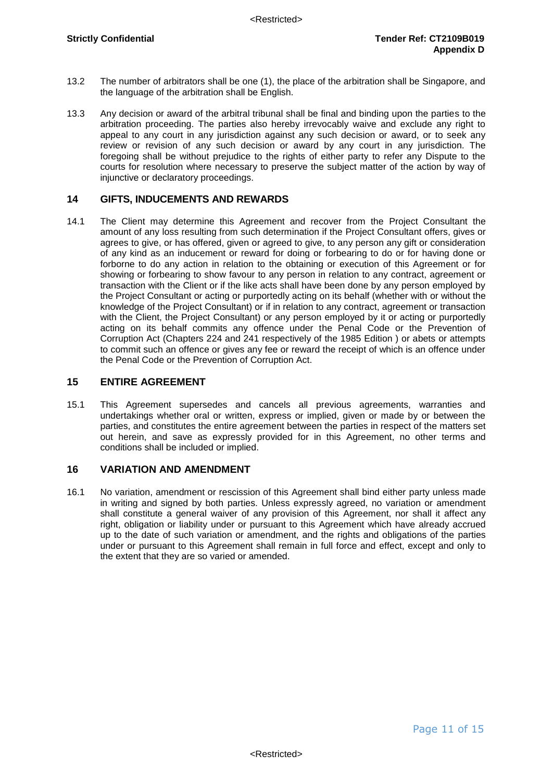- 13.2 The number of arbitrators shall be one (1), the place of the arbitration shall be Singapore, and the language of the arbitration shall be English.
- 13.3 Any decision or award of the arbitral tribunal shall be final and binding upon the parties to the arbitration proceeding. The parties also hereby irrevocably waive and exclude any right to appeal to any court in any jurisdiction against any such decision or award, or to seek any review or revision of any such decision or award by any court in any jurisdiction. The foregoing shall be without prejudice to the rights of either party to refer any Dispute to the courts for resolution where necessary to preserve the subject matter of the action by way of injunctive or declaratory proceedings.

#### <span id="page-11-0"></span>**14 GIFTS, INDUCEMENTS AND REWARDS**

14.1 The Client may determine this Agreement and recover from the Project Consultant the amount of any loss resulting from such determination if the Project Consultant offers, gives or agrees to give, or has offered, given or agreed to give, to any person any gift or consideration of any kind as an inducement or reward for doing or forbearing to do or for having done or forborne to do any action in relation to the obtaining or execution of this Agreement or for showing or forbearing to show favour to any person in relation to any contract, agreement or transaction with the Client or if the like acts shall have been done by any person employed by the Project Consultant or acting or purportedly acting on its behalf (whether with or without the knowledge of the Project Consultant) or if in relation to any contract, agreement or transaction with the Client, the Project Consultant) or any person employed by it or acting or purportedly acting on its behalf commits any offence under the Penal Code or the Prevention of Corruption Act (Chapters 224 and 241 respectively of the 1985 Edition ) or abets or attempts to commit such an offence or gives any fee or reward the receipt of which is an offence under the Penal Code or the Prevention of Corruption Act.

### <span id="page-11-1"></span>**15 ENTIRE AGREEMENT**

15.1 This Agreement supersedes and cancels all previous agreements, warranties and undertakings whether oral or written, express or implied, given or made by or between the parties, and constitutes the entire agreement between the parties in respect of the matters set out herein, and save as expressly provided for in this Agreement, no other terms and conditions shall be included or implied.

### <span id="page-11-2"></span>**16 VARIATION AND AMENDMENT**

16.1 No variation, amendment or rescission of this Agreement shall bind either party unless made in writing and signed by both parties. Unless expressly agreed, no variation or amendment shall constitute a general waiver of any provision of this Agreement, nor shall it affect any right, obligation or liability under or pursuant to this Agreement which have already accrued up to the date of such variation or amendment, and the rights and obligations of the parties under or pursuant to this Agreement shall remain in full force and effect, except and only to the extent that they are so varied or amended.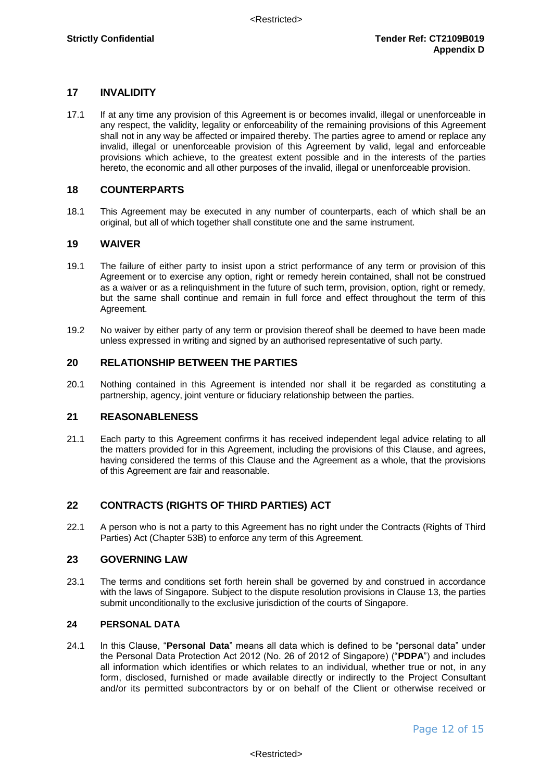### <span id="page-12-0"></span>**17 INVALIDITY**

17.1 If at any time any provision of this Agreement is or becomes invalid, illegal or unenforceable in any respect, the validity, legality or enforceability of the remaining provisions of this Agreement shall not in any way be affected or impaired thereby. The parties agree to amend or replace any invalid, illegal or unenforceable provision of this Agreement by valid, legal and enforceable provisions which achieve, to the greatest extent possible and in the interests of the parties hereto, the economic and all other purposes of the invalid, illegal or unenforceable provision.

### <span id="page-12-1"></span>**18 COUNTERPARTS**

18.1 This Agreement may be executed in any number of counterparts, each of which shall be an original, but all of which together shall constitute one and the same instrument.

### <span id="page-12-2"></span>**19 WAIVER**

- 19.1 The failure of either party to insist upon a strict performance of any term or provision of this Agreement or to exercise any option, right or remedy herein contained, shall not be construed as a waiver or as a relinquishment in the future of such term, provision, option, right or remedy, but the same shall continue and remain in full force and effect throughout the term of this Agreement.
- 19.2 No waiver by either party of any term or provision thereof shall be deemed to have been made unless expressed in writing and signed by an authorised representative of such party.

### <span id="page-12-3"></span>**20 RELATIONSHIP BETWEEN THE PARTIES**

20.1 Nothing contained in this Agreement is intended nor shall it be regarded as constituting a partnership, agency, joint venture or fiduciary relationship between the parties.

### <span id="page-12-4"></span>**21 REASONABLENESS**

21.1 Each party to this Agreement confirms it has received independent legal advice relating to all the matters provided for in this Agreement, including the provisions of this Clause, and agrees, having considered the terms of this Clause and the Agreement as a whole, that the provisions of this Agreement are fair and reasonable.

### <span id="page-12-5"></span>**22 CONTRACTS (RIGHTS OF THIRD PARTIES) ACT**

22.1 A person who is not a party to this Agreement has no right under the Contracts (Rights of Third Parties) Act (Chapter 53B) to enforce any term of this Agreement.

### <span id="page-12-6"></span>**23 GOVERNING LAW**

23.1 The terms and conditions set forth herein shall be governed by and construed in accordance with the laws of Singapore. Subject to the dispute resolution provisions in Clause 13, the parties submit unconditionally to the exclusive jurisdiction of the courts of Singapore.

### **24 PERSONAL DATA**

24.1 In this Clause, "**Personal Data**" means all data which is defined to be "personal data" under the Personal Data Protection Act 2012 (No. 26 of 2012 of Singapore) ("**PDPA**") and includes all information which identifies or which relates to an individual, whether true or not, in any form, disclosed, furnished or made available directly or indirectly to the Project Consultant and/or its permitted subcontractors by or on behalf of the Client or otherwise received or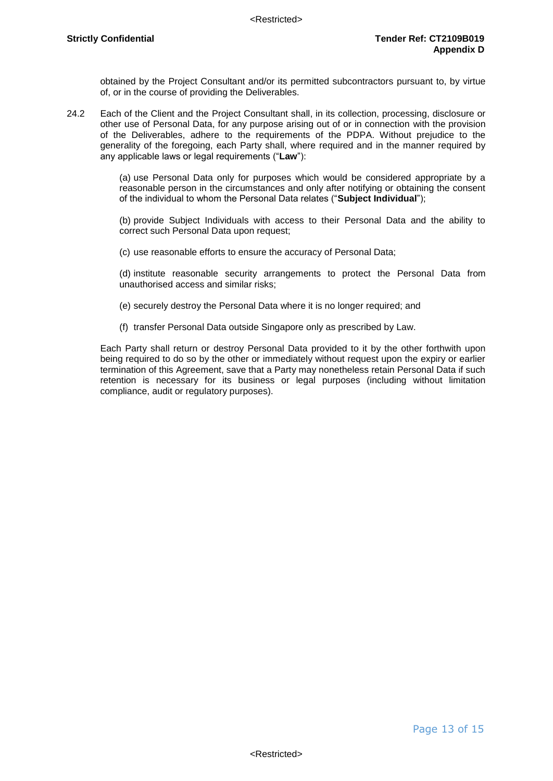obtained by the Project Consultant and/or its permitted subcontractors pursuant to, by virtue of, or in the course of providing the Deliverables.

24.2 Each of the Client and the Project Consultant shall, in its collection, processing, disclosure or other use of Personal Data, for any purpose arising out of or in connection with the provision of the Deliverables, adhere to the requirements of the PDPA. Without prejudice to the generality of the foregoing, each Party shall, where required and in the manner required by any applicable laws or legal requirements ("**Law**"):

> (a) use Personal Data only for purposes which would be considered appropriate by a reasonable person in the circumstances and only after notifying or obtaining the consent of the individual to whom the Personal Data relates ("**Subject Individual**");

> (b) provide Subject Individuals with access to their Personal Data and the ability to correct such Personal Data upon request;

(c) use reasonable efforts to ensure the accuracy of Personal Data;

(d) institute reasonable security arrangements to protect the Personal Data from unauthorised access and similar risks;

- (e) securely destroy the Personal Data where it is no longer required; and
- (f) transfer Personal Data outside Singapore only as prescribed by Law.

Each Party shall return or destroy Personal Data provided to it by the other forthwith upon being required to do so by the other or immediately without request upon the expiry or earlier termination of this Agreement, save that a Party may nonetheless retain Personal Data if such retention is necessary for its business or legal purposes (including without limitation compliance, audit or regulatory purposes).